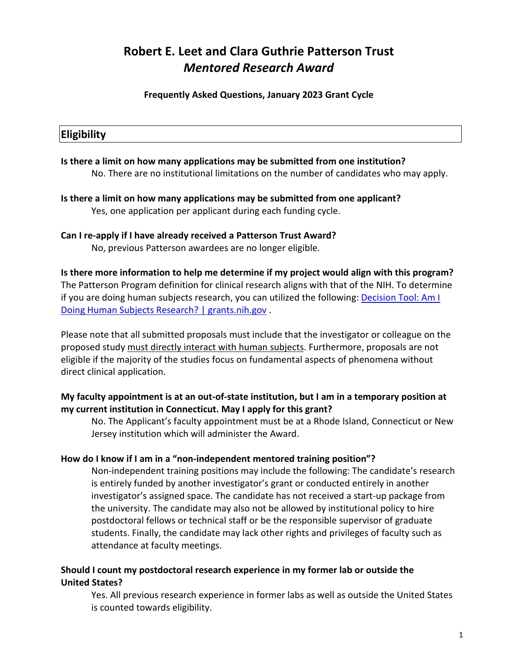### **Frequently Asked Questions, January 2023 Grant Cycle**

## **Eligibility**

**Is there a limit on how many applications may be submitted from one institution?** No. There are no institutional limitations on the number of candidates who may apply.

**Is there a limit on how many applications may be submitted from one applicant?** Yes, one application per applicant during each funding cycle.

**Can I re-apply if I have already received a Patterson Trust Award?**

No, previous Patterson awardees are no longer eligible.

**Is there more information to help me determine if my project would align with this program?** The Patterson Program definition for clinical research aligns with that of the NIH. To determine if you are doing human subjects research, you can utilized the following: **Decision Tool: Am I** [Doing Human Subjects Research? | grants.nih.gov](https://grants.nih.gov/policy/humansubjects/hs-decision.htm) .

Please note that all submitted proposals must include that the investigator or colleague on the proposed study must directly interact with human subjects. Furthermore, proposals are not eligible if the majority of the studies focus on fundamental aspects of phenomena without direct clinical application.

## **My faculty appointment is at an out-of-state institution, but I am in a temporary position at my current institution in Connecticut. May I apply for this grant?**

No. The Applicant's faculty appointment must be at a Rhode Island, Connecticut or New Jersey institution which will administer the Award.

## **How do I know if I am in a "non-independent mentored training position"?**

Non-independent training positions may include the following: The candidate's research is entirely funded by another investigator's grant or conducted entirely in another investigator's assigned space. The candidate has not received a start-up package from the university. The candidate may also not be allowed by institutional policy to hire postdoctoral fellows or technical staff or be the responsible supervisor of graduate students. Finally, the candidate may lack other rights and privileges of faculty such as attendance at faculty meetings.

### **Should I count my postdoctoral research experience in my former lab or outside the United States?**

Yes. All previous research experience in former labs as well as outside the United States is counted towards eligibility.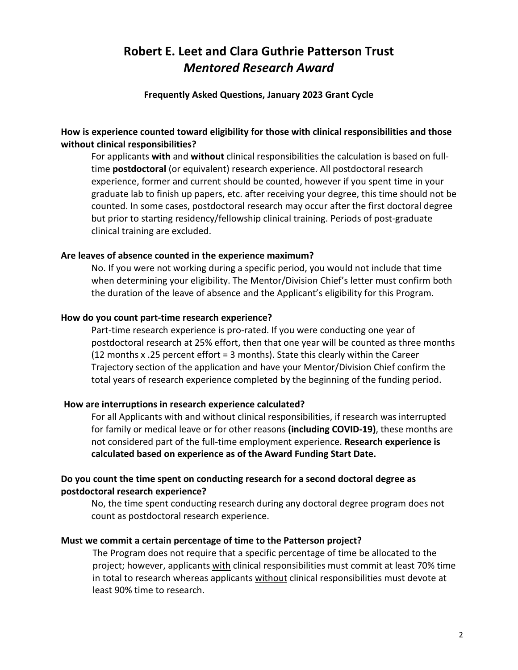### **Frequently Asked Questions, January 2023 Grant Cycle**

## **How is experience counted toward eligibility for those with clinical responsibilities and those without clinical responsibilities?**

For applicants **with** and **without** clinical responsibilities the calculation is based on fulltime **postdoctoral** (or equivalent) research experience. All postdoctoral research experience, former and current should be counted, however if you spent time in your graduate lab to finish up papers, etc. after receiving your degree, this time should not be counted. In some cases, postdoctoral research may occur after the first doctoral degree but prior to starting residency/fellowship clinical training. Periods of post-graduate clinical training are excluded.

### **Are leaves of absence counted in the experience maximum?**

No. If you were not working during a specific period, you would not include that time when determining your eligibility. The Mentor/Division Chief's letter must confirm both the duration of the leave of absence and the Applicant's eligibility for this Program.

### **How do you count part-time research experience?**

Part-time research experience is pro-rated. If you were conducting one year of postdoctoral research at 25% effort, then that one year will be counted as three months (12 months x .25 percent effort = 3 months). State this clearly within the Career Trajectory section of the application and have your Mentor/Division Chief confirm the total years of research experience completed by the beginning of the funding period.

### **How are interruptions in research experience calculated?**

For all Applicants with and without clinical responsibilities, if research was interrupted for family or medical leave or for other reasons **(including COVID-19)**, these months are not considered part of the full-time employment experience. **Research experience is calculated based on experience as of the Award Funding Start Date.**

### **Do you count the time spent on conducting research for a second doctoral degree as postdoctoral research experience?**

No, the time spent conducting research during any doctoral degree program does not count as postdoctoral research experience.

### **Must we commit a certain percentage of time to the Patterson project?**

The Program does not require that a specific percentage of time be allocated to the project; however, applicants with clinical responsibilities must commit at least 70% time in total to research whereas applicants without clinical responsibilities must devote at least 90% time to research.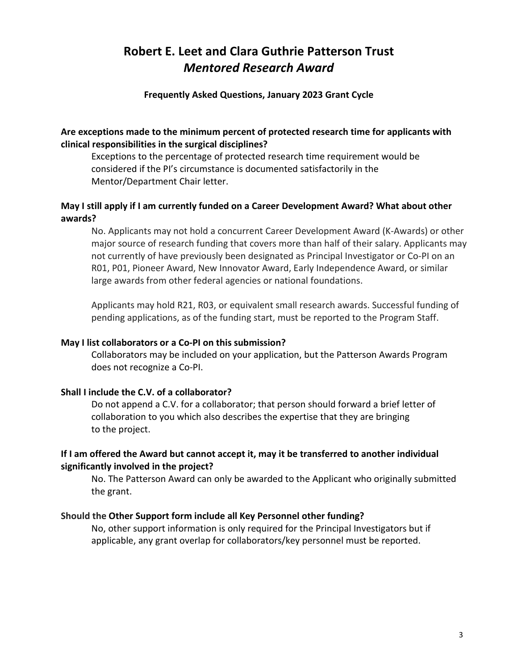### **Frequently Asked Questions, January 2023 Grant Cycle**

### **Are exceptions made to the minimum percent of protected research time for applicants with clinical responsibilities in the surgical disciplines?**

Exceptions to the percentage of protected research time requirement would be considered if the PI's circumstance is documented satisfactorily in the Mentor/Department Chair letter.

## **May I still apply if I am currently funded on a Career Development Award? What about other awards?**

No. Applicants may not hold a concurrent Career Development Award (K-Awards) or other major source of research funding that covers more than half of their salary. Applicants may not currently of have previously been designated as Principal Investigator or Co-PI on an R01, P01, Pioneer Award, New Innovator Award, Early Independence Award, or similar large awards from other federal agencies or national foundations.

Applicants may hold R21, R03, or equivalent small research awards. Successful funding of pending applications, as of the funding start, must be reported to the Program Staff.

### **May I list collaborators or a Co-PI on this submission?**

Collaborators may be included on your application, but the Patterson Awards Program does not recognize a Co-PI.

### **Shall I include the C.V. of a collaborator?**

Do not append a C.V. for a collaborator; that person should forward a brief letter of collaboration to you which also describes the expertise that they are bringing to the project.

### **If I am offered the Award but cannot accept it, may it be transferred to another individual significantly involved in the project?**

No. The Patterson Award can only be awarded to the Applicant who originally submitted the grant.

#### **Should the Other Support form include all Key Personnel other funding?**

No, other support information is only required for the Principal Investigators but if applicable, any grant overlap for collaborators/key personnel must be reported.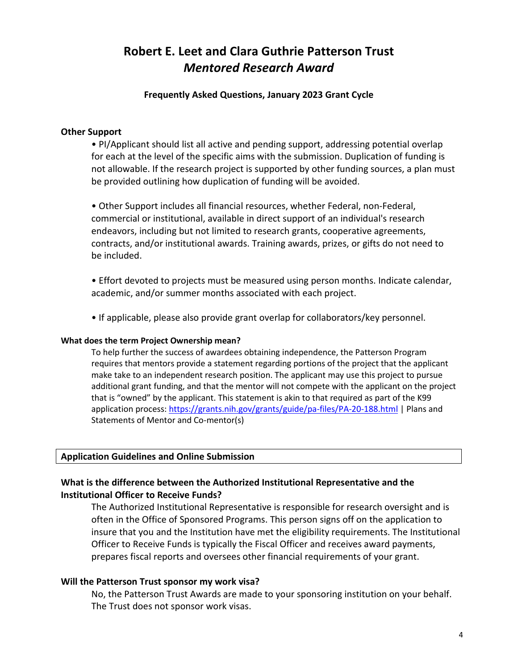### **Frequently Asked Questions, January 2023 Grant Cycle**

#### **Other Support**

• PI/Applicant should list all active and pending support, addressing potential overlap for each at the level of the specific aims with the submission. Duplication of funding is not allowable. If the research project is supported by other funding sources, a plan must be provided outlining how duplication of funding will be avoided.

• Other Support includes all financial resources, whether Federal, non-Federal, commercial or institutional, available in direct support of an individual's research endeavors, including but not limited to research grants, cooperative agreements, contracts, and/or institutional awards. Training awards, prizes, or gifts do not need to be included.

• Effort devoted to projects must be measured using person months. Indicate calendar, academic, and/or summer months associated with each project.

• If applicable, please also provide grant overlap for collaborators/key personnel.

#### **What does the term Project Ownership mean?**

To help further the success of awardees obtaining independence, the Patterson Program requires that mentors provide a statement regarding portions of the project that the applicant make take to an independent research position. The applicant may use this project to pursue additional grant funding, and that the mentor will not compete with the applicant on the project that is "owned" by the applicant. This statement is akin to that required as part of the K99 application process[: https://grants.nih.gov/grants/guide/pa-files/PA-20-188.html](https://grants.nih.gov/grants/guide/pa-files/PA-20-188.html) | Plans and Statements of Mentor and Co-mentor(s)

## **Application Guidelines and Online Submission**

## **What is the difference between the Authorized Institutional Representative and the Institutional Officer to Receive Funds?**

The Authorized Institutional Representative is responsible for research oversight and is often in the Office of Sponsored Programs. This person signs off on the application to insure that you and the Institution have met the eligibility requirements. The Institutional Officer to Receive Funds is typically the Fiscal Officer and receives award payments, prepares fiscal reports and oversees other financial requirements of your grant.

### **Will the Patterson Trust sponsor my work visa?**

No, the Patterson Trust Awards are made to your sponsoring institution on your behalf. The Trust does not sponsor work visas.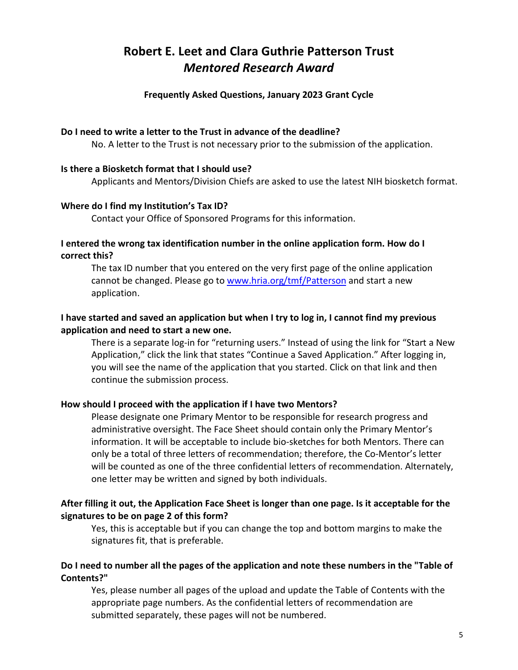### **Frequently Asked Questions, January 2023 Grant Cycle**

### **Do I need to write a letter to the Trust in advance of the deadline?**

No. A letter to the Trust is not necessary prior to the submission of the application.

## **Is there a Biosketch format that I should use?**

Applicants and Mentors/Division Chiefs are asked to use the latest NIH biosketch format.

### **Where do I find my Institution's Tax ID?**

Contact your Office of Sponsored Programs for this information.

## **I entered the wrong tax identification number in the online application form. How do I correct this?**

The tax ID number that you entered on the very first page of the online application cannot be changed. Please go to [www.hria.org/tmf/Patterson](https://hria.org/tmf/Patterson) and start a new application.

## **I have started and saved an application but when I try to log in, I cannot find my previous application and need to start a new one.**

There is a separate log-in for "returning users." Instead of using the link for "Start a New Application," click the link that states "Continue a Saved Application." After logging in, you will see the name of the application that you started. Click on that link and then continue the submission process.

## **How should I proceed with the application if I have two Mentors?**

Please designate one Primary Mentor to be responsible for research progress and administrative oversight. The Face Sheet should contain only the Primary Mentor's information. It will be acceptable to include bio-sketches for both Mentors. There can only be a total of three letters of recommendation; therefore, the Co-Mentor's letter will be counted as one of the three confidential letters of recommendation. Alternately, one letter may be written and signed by both individuals.

### **After filling it out, the Application Face Sheet is longer than one page. Is it acceptable for the signatures to be on page 2 of this form?**

Yes, this is acceptable but if you can change the top and bottom margins to make the signatures fit, that is preferable.

## **Do I need to number all the pages of the application and note these numbers in the "Table of Contents?"**

Yes, please number all pages of the upload and update the Table of Contents with the appropriate page numbers. As the confidential letters of recommendation are submitted separately, these pages will not be numbered.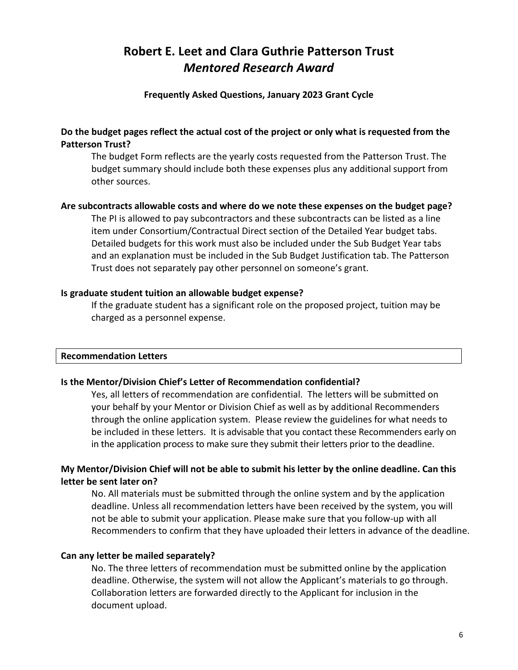### **Frequently Asked Questions, January 2023 Grant Cycle**

### **Do the budget pages reflect the actual cost of the project or only what is requested from the Patterson Trust?**

The budget Form reflects are the yearly costs requested from the Patterson Trust. The budget summary should include both these expenses plus any additional support from other sources.

### **Are subcontracts allowable costs and where do we note these expenses on the budget page?**

The PI is allowed to pay subcontractors and these subcontracts can be listed as a line item under Consortium/Contractual Direct section of the Detailed Year budget tabs. Detailed budgets for this work must also be included under the Sub Budget Year tabs and an explanation must be included in the Sub Budget Justification tab. The Patterson Trust does not separately pay other personnel on someone's grant.

### **Is graduate student tuition an allowable budget expense?**

If the graduate student has a significant role on the proposed project, tuition may be charged as a personnel expense.

### **Recommendation Letters**

### **Is the Mentor/Division Chief's Letter of Recommendation confidential?**

Yes, all letters of recommendation are confidential. The letters will be submitted on your behalf by your Mentor or Division Chief as well as by additional Recommenders through the online application system. Please review the guidelines for what needs to be included in these letters. It is advisable that you contact these Recommenders early on in the application process to make sure they submit their letters prior to the deadline.

## **My Mentor/Division Chief will not be able to submit his letter by the online deadline. Can this letter be sent later on?**

No. All materials must be submitted through the online system and by the application deadline. Unless all recommendation letters have been received by the system, you will not be able to submit your application. Please make sure that you follow-up with all Recommenders to confirm that they have uploaded their letters in advance of the deadline.

### **Can any letter be mailed separately?**

No. The three letters of recommendation must be submitted online by the application deadline. Otherwise, the system will not allow the Applicant's materials to go through. Collaboration letters are forwarded directly to the Applicant for inclusion in the document upload.